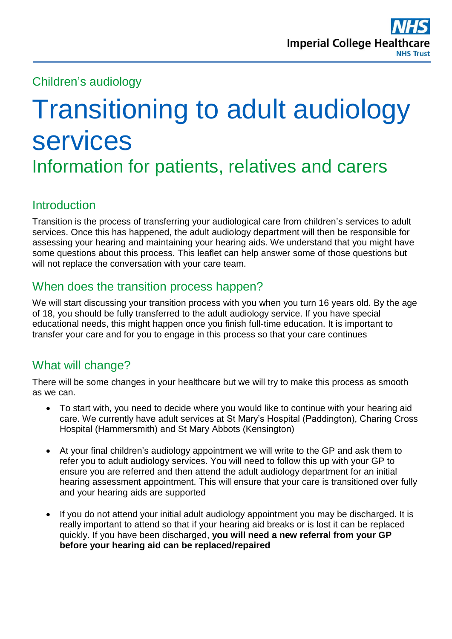Children's audiology

# Transitioning to adult audiology services Information for patients, relatives and carers

# **Introduction**

Transition is the process of transferring your audiological care from children's services to adult services. Once this has happened, the adult audiology department will then be responsible for assessing your hearing and maintaining your hearing aids. We understand that you might have some questions about this process. This leaflet can help answer some of those questions but will not replace the conversation with your care team.

# When does the transition process happen?

We will start discussing your transition process with you when you turn 16 years old. By the age of 18, you should be fully transferred to the adult audiology service. If you have special educational needs, this might happen once you finish full-time education. It is important to transfer your care and for you to engage in this process so that your care continues

# What will change?

There will be some changes in your healthcare but we will try to make this process as smooth as we can.

- To start with, you need to decide where you would like to continue with your hearing aid care. We currently have adult services at St Mary's Hospital (Paddington), Charing Cross Hospital (Hammersmith) and St Mary Abbots (Kensington)
- At your final children's audiology appointment we will write to the GP and ask them to refer you to adult audiology services. You will need to follow this up with your GP to ensure you are referred and then attend the adult audiology department for an initial hearing assessment appointment. This will ensure that your care is transitioned over fully and your hearing aids are supported
- If you do not attend your initial adult audiology appointment you may be discharged. It is really important to attend so that if your hearing aid breaks or is lost it can be replaced quickly. If you have been discharged, **you will need a new referral from your GP before your hearing aid can be replaced/repaired**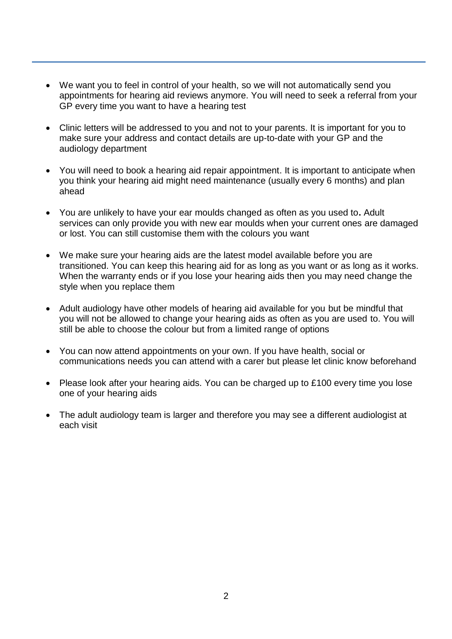- We want you to feel in control of your health, so we will not automatically send you appointments for hearing aid reviews anymore. You will need to seek a referral from your GP every time you want to have a hearing test
- Clinic letters will be addressed to you and not to your parents. It is important for you to make sure your address and contact details are up-to-date with your GP and the audiology department
- You will need to book a hearing aid repair appointment. It is important to anticipate when you think your hearing aid might need maintenance (usually every 6 months) and plan ahead
- You are unlikely to have your ear moulds changed as often as you used to**.** Adult services can only provide you with new ear moulds when your current ones are damaged or lost. You can still customise them with the colours you want
- We make sure your hearing aids are the latest model available before you are transitioned. You can keep this hearing aid for as long as you want or as long as it works. When the warranty ends or if you lose your hearing aids then you may need change the style when you replace them
- Adult audiology have other models of hearing aid available for you but be mindful that you will not be allowed to change your hearing aids as often as you are used to. You will still be able to choose the colour but from a limited range of options
- You can now attend appointments on your own. If you have health, social or communications needs you can attend with a carer but please let clinic know beforehand
- Please look after your hearing aids. You can be charged up to £100 every time you lose one of your hearing aids
- The adult audiology team is larger and therefore you may see a different audiologist at each visit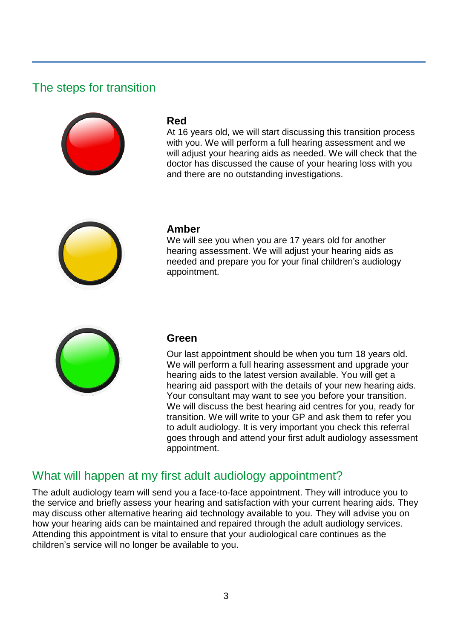## The steps for transition



#### **Red**

At 16 years old, we will start discussing this transition process with you. We will perform a full hearing assessment and we will adjust your hearing aids as needed. We will check that the doctor has discussed the cause of your hearing loss with you and there are no outstanding investigations.



#### **Amber**

We will see you when you are 17 years old for another hearing assessment. We will adjust your hearing aids as needed and prepare you for your final children's audiology appointment.



#### **Green**

Our last appointment should be when you turn 18 years old. We will perform a full hearing assessment and upgrade your hearing aids to the latest version available. You will get a hearing aid passport with the details of your new hearing aids. Your consultant may want to see you before your transition. We will discuss the best hearing aid centres for you, ready for transition. We will write to your GP and ask them to refer you to adult audiology. It is very important you check this referral goes through and attend your first adult audiology assessment appointment.

#### What will happen at my first adult audiology appointment?

The adult audiology team will send you a face-to-face appointment. They will introduce you to the service and briefly assess your hearing and satisfaction with your current hearing aids. They may discuss other alternative hearing aid technology available to you. They will advise you on how your hearing aids can be maintained and repaired through the adult audiology services. Attending this appointment is vital to ensure that your audiological care continues as the children's service will no longer be available to you.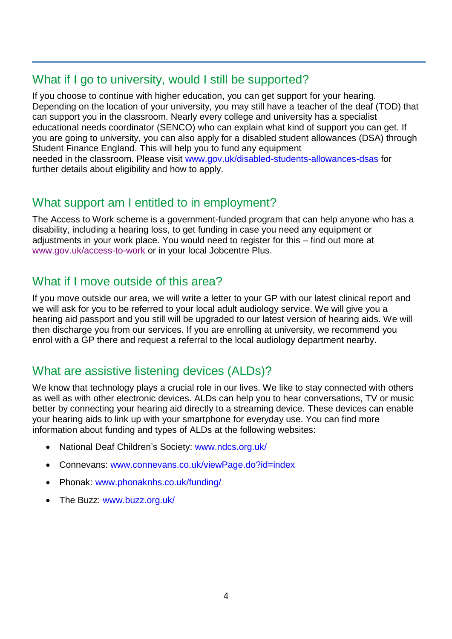## What if I go to university, would I still be supported?

If you choose to continue with higher education, you can get support for your hearing. Depending on the location of your university, you may still have a teacher of the deaf (TOD) that can support you in the classroom. Nearly every college and university has a specialist educational needs coordinator (SENCO) who can explain what kind of support you can get. If you are going to university, you can also apply for a disabled student allowances (DSA) through Student Finance England. This will help you to fund any equipment needed in the classroom. Please visit [www.gov.uk/disabled-students-allowances-dsas](http://www.gov.uk/disabled-students-allowances-dsas) for further details about eligibility and how to apply.

# What support am I entitled to in employment?

The Access to Work scheme is a government-funded program that can help anyone who has a disability, including a hearing loss, to get funding in case you need any equipment or adjustments in your work place. You would need to register for this – find out more at [www.gov.uk/access-to-work](http://www.gov.uk/access-to-work) or in your local Jobcentre Plus.

## What if I move outside of this area?

If you move outside our area, we will write a letter to your GP with our latest clinical report and we will ask for you to be referred to your local adult audiology service. We will give you a hearing aid passport and you still will be upgraded to our latest version of hearing aids. We will then discharge you from our services. If you are enrolling at university, we recommend you enrol with a GP there and request a referral to the local audiology department nearby.

# What are assistive listening devices (ALDs)?

We know that technology plays a crucial role in our lives. We like to stay connected with others as well as with other electronic devices. ALDs can help you to hear conversations, TV or music better by connecting your hearing aid directly to a streaming device. These devices can enable your hearing aids to link up with your smartphone for everyday use. You can find more information about funding and types of ALDs at the following websites:

- National Deaf Children's Society: [www.ndcs.org.uk/](http://www.ndcs.org.uk/)
- Connevans: [www.connevans.co.uk/viewPage.do?id=index](http://www.connevans.co.uk/viewPage.do?id=index)
- Phonak: [www.phonaknhs.co.uk/funding/](http://www.phonaknhs.co.uk/funding/)
- The Buzz: [www.buzz.org.uk/](http://www.buzz.org.uk/)